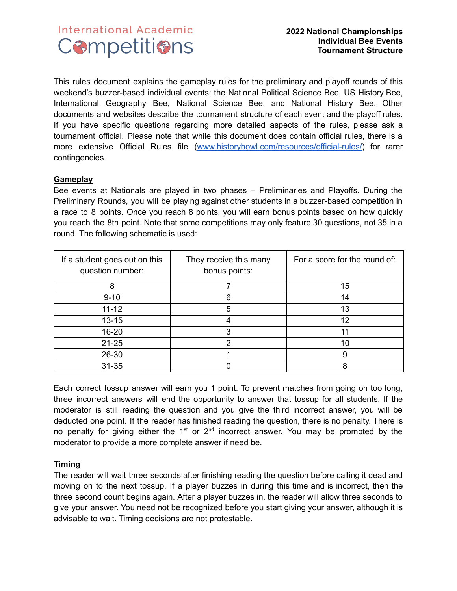# **International Academic Competitions**

This rules document explains the gameplay rules for the preliminary and playoff rounds of this weekend's buzzer-based individual events: the National Political Science Bee, US History Bee, International Geography Bee, National Science Bee, and National History Bee. Other documents and websites describe the tournament structure of each event and the playoff rules. If you have specific questions regarding more detailed aspects of the rules, please ask a tournament official. Please note that while this document does contain official rules, there is a more extensive Official Rules file [\(www.historybowl.com/resources/official-rules/](http://www.historybowl.com/resources/official-rules/)) for rarer contingencies.

#### **Gameplay**

Bee events at Nationals are played in two phases – Preliminaries and Playoffs. During the Preliminary Rounds, you will be playing against other students in a buzzer-based competition in a race to 8 points. Once you reach 8 points, you will earn bonus points based on how quickly you reach the 8th point. Note that some competitions may only feature 30 questions, not 35 in a round. The following schematic is used:

| If a student goes out on this<br>question number: | They receive this many<br>bonus points: | For a score for the round of: |
|---------------------------------------------------|-----------------------------------------|-------------------------------|
| 8                                                 |                                         | 15                            |
| $9 - 10$                                          |                                         | 14                            |
| $11 - 12$                                         | 5                                       | 13                            |
| $13 - 15$                                         |                                         | 12                            |
| 16-20                                             |                                         |                               |
| $21 - 25$                                         | ⌒                                       | 10                            |
| 26-30                                             |                                         | 9                             |
| $31 - 35$                                         |                                         | 8                             |

Each correct tossup answer will earn you 1 point. To prevent matches from going on too long, three incorrect answers will end the opportunity to answer that tossup for all students. If the moderator is still reading the question and you give the third incorrect answer, you will be deducted one point. If the reader has finished reading the question, there is no penalty. There is no penalty for giving either the  $1<sup>st</sup>$  or  $2<sup>nd</sup>$  incorrect answer. You may be prompted by the moderator to provide a more complete answer if need be.

### **Timing**

The reader will wait three seconds after finishing reading the question before calling it dead and moving on to the next tossup. If a player buzzes in during this time and is incorrect, then the three second count begins again. After a player buzzes in, the reader will allow three seconds to give your answer. You need not be recognized before you start giving your answer, although it is advisable to wait. Timing decisions are not protestable.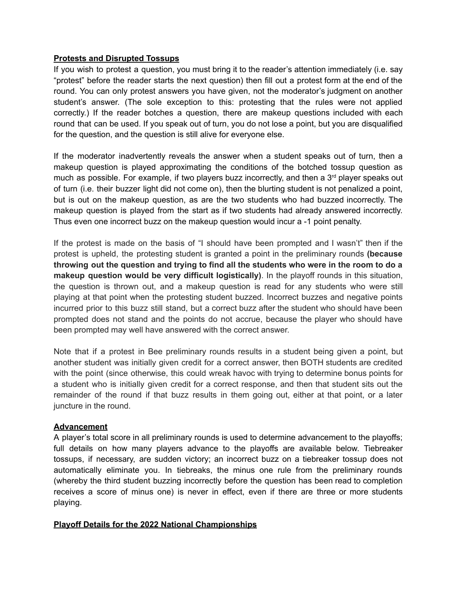#### **Protests and Disrupted Tossups**

If you wish to protest a question, you must bring it to the reader's attention immediately (i.e. say "protest" before the reader starts the next question) then fill out a protest form at the end of the round. You can only protest answers you have given, not the moderator's judgment on another student's answer. (The sole exception to this: protesting that the rules were not applied correctly.) If the reader botches a question, there are makeup questions included with each round that can be used. If you speak out of turn, you do not lose a point, but you are disqualified for the question, and the question is still alive for everyone else.

If the moderator inadvertently reveals the answer when a student speaks out of turn, then a makeup question is played approximating the conditions of the botched tossup question as much as possible. For example, if two players buzz incorrectly, and then a 3<sup>rd</sup> player speaks out of turn (i.e. their buzzer light did not come on), then the blurting student is not penalized a point, but is out on the makeup question, as are the two students who had buzzed incorrectly. The makeup question is played from the start as if two students had already answered incorrectly. Thus even one incorrect buzz on the makeup question would incur a -1 point penalty.

If the protest is made on the basis of "I should have been prompted and I wasn't" then if the protest is upheld, the protesting student is granted a point in the preliminary rounds **(because throwing out the question and trying to find all the students who were in the room to do a makeup question would be very difficult logistically)**. In the playoff rounds in this situation, the question is thrown out, and a makeup question is read for any students who were still playing at that point when the protesting student buzzed. Incorrect buzzes and negative points incurred prior to this buzz still stand, but a correct buzz after the student who should have been prompted does not stand and the points do not accrue, because the player who should have been prompted may well have answered with the correct answer.

Note that if a protest in Bee preliminary rounds results in a student being given a point, but another student was initially given credit for a correct answer, then BOTH students are credited with the point (since otherwise, this could wreak havoc with trying to determine bonus points for a student who is initially given credit for a correct response, and then that student sits out the remainder of the round if that buzz results in them going out, either at that point, or a later juncture in the round.

#### **Advancement**

A player's total score in all preliminary rounds is used to determine advancement to the playoffs; full details on how many players advance to the playoffs are available below. Tiebreaker tossups, if necessary, are sudden victory; an incorrect buzz on a tiebreaker tossup does not automatically eliminate you. In tiebreaks, the minus one rule from the preliminary rounds (whereby the third student buzzing incorrectly before the question has been read to completion receives a score of minus one) is never in effect, even if there are three or more students playing.

#### **Playoff Details for the 2022 National Championships**